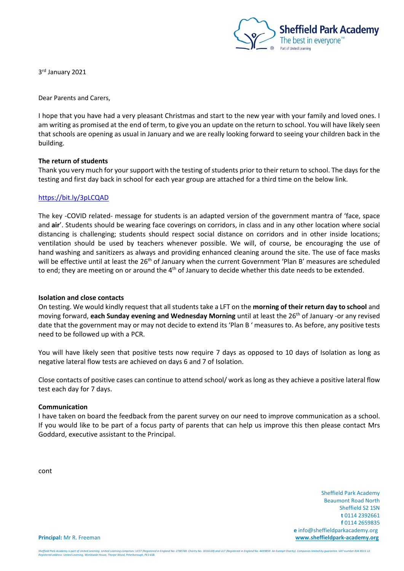

3 rd January 2021

Dear Parents and Carers,

I hope that you have had a very pleasant Christmas and start to the new year with your family and loved ones. I am writing as promised at the end of term, to give you an update on the return to school. You will have likely seen that schools are opening as usual in January and we are really looking forward to seeing your children back in the building.

# **The return of students**

Thank you very much for your support with the testing of students prior to their return to school. The days for the testing and first day back in school for each year group are attached for a third time on the below link.

### <https://bit.ly/3pLCQAD>

The key -COVID related- message for students is an adapted version of the government mantra of 'face, space and **air**'. Students should be wearing face coverings on corridors, in class and in any other location where social distancing is challenging; students should respect social distance on corridors and in other inside locations; ventilation should be used by teachers whenever possible. We will, of course, be encouraging the use of hand washing and sanitizers as always and providing enhanced cleaning around the site. The use of face masks will be effective until at least the 26<sup>th</sup> of January when the current Government 'Plan B' measures are scheduled to end; they are meeting on or around the 4<sup>th</sup> of January to decide whether this date needs to be extended.

### **Isolation and close contacts**

On testing. We would kindly request that all students take a LFT on the **morning of their return day to school** and moving forward, **each Sunday evening and Wednesday Morning** until at least the 26th of January -or any revised date that the government may or may not decide to extend its 'Plan B ' measures to. As before, any positive tests need to be followed up with a PCR.

You will have likely seen that positive tests now require 7 days as opposed to 10 days of Isolation as long as negative lateral flow tests are achieved on days 6 and 7 of Isolation.

Close contacts of positive cases can continue to attend school/ work as long as they achieve a positive lateral flow test each day for 7 days.

### **Communication**

I have taken on board the feedback from the parent survey on our need to improve communication as a school. If you would like to be part of a focus party of parents that can help us improve this then please contact Mrs Goddard, executive assistant to the Principal.

cont

 Sheffield Park Academy Beaumont Road North Sheffield S2 1SN **t** 0114 2392661 **f** 0114 2659835  **e** info@sheffieldparkacademy.org **Principal:** Mr R. Freeman **[www.sheffieldpark-academy.org](http://www.sheffieldpark-academy.org/)**